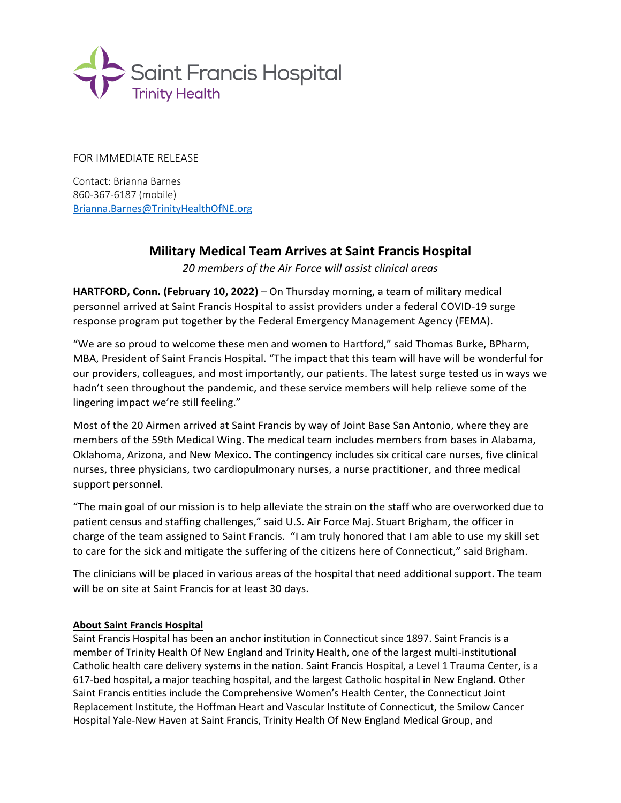

FOR IMMEDIATE RELEASE

Contact: Brianna Barnes 860-367-6187 (mobile) [Brianna.Barnes@TrinityHealthOfNE.org](mailto:Brianna.Barnes@TrinityHealthOfNE.org)

## **Military Medical Team Arrives at Saint Francis Hospital**

*20 members of the Air Force will assist clinical areas*

**HARTFORD, Conn. (February 10, 2022)** – On Thursday morning, a team of military medical personnel arrived at Saint Francis Hospital to assist providers under a federal COVID-19 surge response program put together by the Federal Emergency Management Agency (FEMA).

"We are so proud to welcome these men and women to Hartford," said Thomas Burke, BPharm, MBA, President of Saint Francis Hospital. "The impact that this team will have will be wonderful for our providers, colleagues, and most importantly, our patients. The latest surge tested us in ways we hadn't seen throughout the pandemic, and these service members will help relieve some of the lingering impact we're still feeling."

Most of the 20 Airmen arrived at Saint Francis by way of Joint Base San Antonio, where they are members of the 59th Medical Wing. The medical team includes members from bases in Alabama, Oklahoma, Arizona, and New Mexico. The contingency includes six critical care nurses, five clinical nurses, three physicians, two cardiopulmonary nurses, a nurse practitioner, and three medical support personnel.

"The main goal of our mission is to help alleviate the strain on the staff who are overworked due to patient census and staffing challenges," said U.S. Air Force Maj. Stuart Brigham, the officer in charge of the team assigned to Saint Francis. "I am truly honored that I am able to use my skill set to care for the sick and mitigate the suffering of the citizens here of Connecticut," said Brigham.

The clinicians will be placed in various areas of the hospital that need additional support. The team will be on site at Saint Francis for at least 30 days.

## **About Saint Francis Hospital**

Saint Francis Hospital has been an anchor institution in Connecticut since 1897. Saint Francis is a member of Trinity Health Of New England and Trinity Health, one of the largest multi-institutional Catholic health care delivery systems in the nation. Saint Francis Hospital, a Level 1 Trauma Center, is a 617-bed hospital, a major teaching hospital, and the largest Catholic hospital in New England. Other Saint Francis entities include the Comprehensive Women's Health Center, the Connecticut Joint Replacement Institute, the Hoffman Heart and Vascular Institute of Connecticut, the Smilow Cancer Hospital Yale-New Haven at Saint Francis, Trinity Health Of New England Medical Group, and